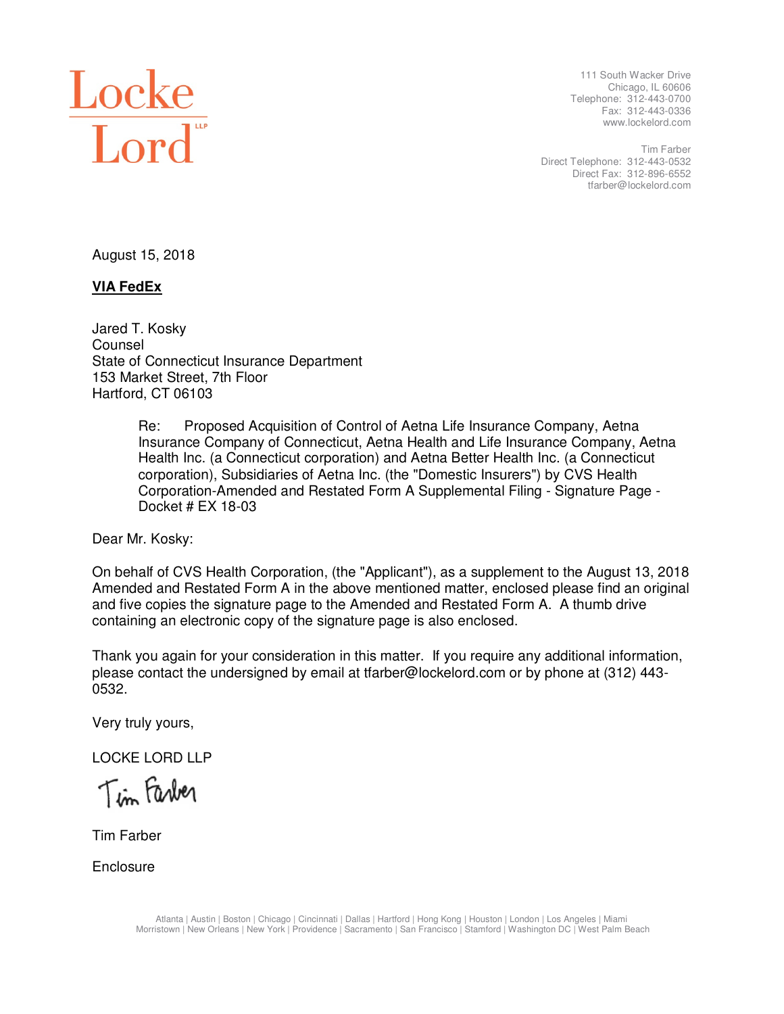

 111 South Wacker Drive Chicago, IL 60606 Telephone: 312-443-0700 Fax: 312-443-0336 www.lockelord.com

 Direct Telephone: 312-443-0532 Direct Fax: 312-896-6552 Tim Farber tfarber@lockelord.com

August 15, 2018

# **VIA FedEx**

 Jared T. Kosky State of Connecticut Insurance Department 153 Market Street, 7th Floor Hartford, CT 06103 Counsel

> Re: Proposed Acquisition of Control of Aetna Life Insurance Company, Aetna Insurance Company of Connecticut, Aetna Health and Life Insurance Company, Aetna Health Inc. (a Connecticut corporation) and Aetna Better Health Inc. (a Connecticut corporation), Subsidiaries of Aetna Inc. (the "Domestic Insurers") by CVS Health Corporation-Amended and Restated Form A Supplemental Filing - Signature Page - Docket # EX 18-03

Dear Mr. Kosky:

 On behalf of CVS Health Corporation, (the "Applicant"), as a supplement to the August 13, 2018 Amended and Restated Form A in the above mentioned matter, enclosed please find an original and five copies the signature page to the Amended and Restated Form A. A thumb drive containing an electronic copy of the signature page is also enclosed.

 Thank you again for your consideration in this matter. If you require any additional information, please contact the undersigned by email at tfarber@lockelord.com or by phone at (312) 443- 0532.

Very truly yours,

LOCKE LORD LLP

Tim Farber

Tim Farber

**Enclosure**